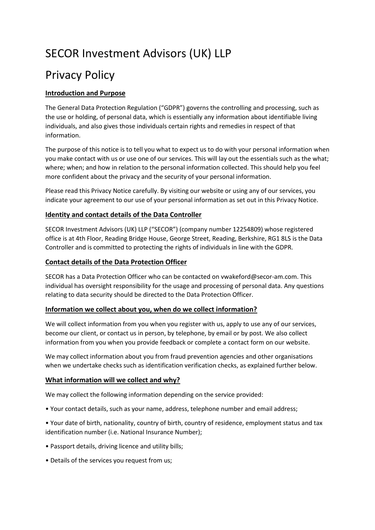# SECOR Investment Advisors (UK) LLP

# Privacy Policy

# **Introduction and Purpose**

The General Data Protection Regulation ("GDPR") governs the controlling and processing, such as the use or holding, of personal data, which is essentially any information about identifiable living individuals, and also gives those individuals certain rights and remedies in respect of that information.

The purpose of this notice is to tell you what to expect us to do with your personal information when you make contact with us or use one of our services. This will lay out the essentials such as the what; where; when; and how in relation to the personal information collected. This should help you feel more confident about the privacy and the security of your personal information.

Please read this Privacy Notice carefully. By visiting our website or using any of our services, you indicate your agreement to our use of your personal information as set out in this Privacy Notice.

## **Identity and contact details of the Data Controller**

SECOR Investment Advisors (UK) LLP ("SECOR") (company number 12254809) whose registered office is at 4th Floor, Reading Bridge House, George Street, Reading, Berkshire, RG1 8LS is the Data Controller and is committed to protecting the rights of individuals in line with the GDPR.

# **Contact details of the Data Protection Officer**

SECOR has a Data Protection Officer who can be contacted on vwakeford@secor-am.com. This individual has oversight responsibility for the usage and processing of personal data. Any questions relating to data security should be directed to the Data Protection Officer.

## **Information we collect about you, when do we collect information?**

We will collect information from you when you register with us, apply to use any of our services, become our client, or contact us in person, by telephone, by email or by post. We also collect information from you when you provide feedback or complete a contact form on our website.

We may collect information about you from fraud prevention agencies and other organisations when we undertake checks such as identification verification checks, as explained further below.

# **What information will we collect and why?**

We may collect the following information depending on the service provided:

• Your contact details, such as your name, address, telephone number and email address;

• Your date of birth, nationality, country of birth, country of residence, employment status and tax identification number (i.e. National Insurance Number);

- Passport details, driving licence and utility bills;
- Details of the services you request from us;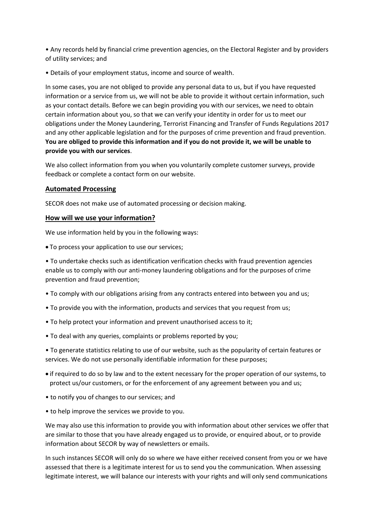• Any records held by financial crime prevention agencies, on the Electoral Register and by providers of utility services; and

• Details of your employment status, income and source of wealth.

In some cases, you are not obliged to provide any personal data to us, but if you have requested information or a service from us, we will not be able to provide it without certain information, such as your contact details. Before we can begin providing you with our services, we need to obtain certain information about you, so that we can verify your identity in order for us to meet our obligations under the Money Laundering, Terrorist Financing and Transfer of Funds Regulations 2017 and any other applicable legislation and for the purposes of crime prevention and fraud prevention. **You are obliged to provide this information and if you do not provide it, we will be unable to provide you with our services**.

We also collect information from you when you voluntarily complete customer surveys, provide feedback or complete a contact form on our website.

#### **Automated Processing**

SECOR does not make use of automated processing or decision making.

#### **How will we use your information?**

We use information held by you in the following ways:

• To process your application to use our services;

• To undertake checks such as identification verification checks with fraud prevention agencies enable us to comply with our anti-money laundering obligations and for the purposes of crime prevention and fraud prevention;

- To comply with our obligations arising from any contracts entered into between you and us;
- To provide you with the information, products and services that you request from us;
- To help protect your information and prevent unauthorised access to it;
- To deal with any queries, complaints or problems reported by you;

• To generate statistics relating to use of our website, such as the popularity of certain features or services. We do not use personally identifiable information for these purposes;

- if required to do so by law and to the extent necessary for the proper operation of our systems, to protect us/our customers, or for the enforcement of any agreement between you and us;
- to notify you of changes to our services; and
- to help improve the services we provide to you.

We may also use this information to provide you with information about other services we offer that are similar to those that you have already engaged us to provide, or enquired about, or to provide information about SECOR by way of newsletters or emails.

In such instances SECOR will only do so where we have either received consent from you or we have assessed that there is a legitimate interest for us to send you the communication. When assessing legitimate interest, we will balance our interests with your rights and will only send communications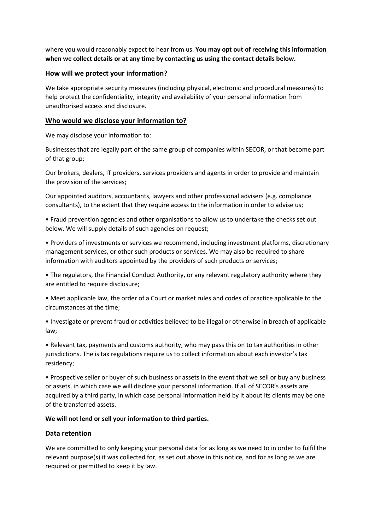where you would reasonably expect to hear from us. **You may opt out of receiving this information when we collect details or at any time by contacting us using the contact details below.**

### **How will we protect your information?**

We take appropriate security measures (including physical, electronic and procedural measures) to help protect the confidentiality, integrity and availability of your personal information from unauthorised access and disclosure.

#### **Who would we disclose your information to?**

We may disclose your information to:

Businesses that are legally part of the same group of companies within SECOR, or that become part of that group;

Our brokers, dealers, IT providers, services providers and agents in order to provide and maintain the provision of the services;

Our appointed auditors, accountants, lawyers and other professional advisers (e.g. compliance consultants), to the extent that they require access to the information in order to advise us;

• Fraud prevention agencies and other organisations to allow us to undertake the checks set out below. We will supply details of such agencies on request;

• Providers of investments or services we recommend, including investment platforms, discretionary management services, or other such products or services. We may also be required to share information with auditors appointed by the providers of such products or services;

• The regulators, the Financial Conduct Authority, or any relevant regulatory authority where they are entitled to require disclosure;

• Meet applicable law, the order of a Court or market rules and codes of practice applicable to the circumstances at the time;

• Investigate or prevent fraud or activities believed to be illegal or otherwise in breach of applicable law;

• Relevant tax, payments and customs authority, who may pass this on to tax authorities in other jurisdictions. The is tax regulations require us to collect information about each investor's tax residency;

• Prospective seller or buyer of such business or assets in the event that we sell or buy any business or assets, in which case we will disclose your personal information. If all of SECOR's assets are acquired by a third party, in which case personal information held by it about its clients may be one of the transferred assets.

#### **We will not lend or sell your information to third parties.**

## **Data retention**

We are committed to only keeping your personal data for as long as we need to in order to fulfil the relevant purpose(s) it was collected for, as set out above in this notice, and for as long as we are required or permitted to keep it by law.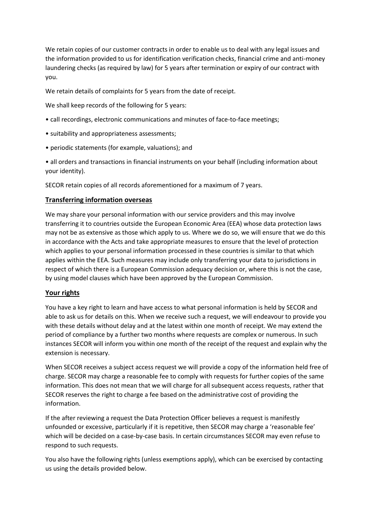We retain copies of our customer contracts in order to enable us to deal with any legal issues and the information provided to us for identification verification checks, financial crime and anti-money laundering checks (as required by law) for 5 years after termination or expiry of our contract with you.

We retain details of complaints for 5 years from the date of receipt.

We shall keep records of the following for 5 years:

- call recordings, electronic communications and minutes of face-to-face meetings;
- suitability and appropriateness assessments;
- periodic statements (for example, valuations); and

• all orders and transactions in financial instruments on your behalf (including information about your identity).

SECOR retain copies of all records aforementioned for a maximum of 7 years.

## **Transferring information overseas**

We may share your personal information with our service providers and this may involve transferring it to countries outside the European Economic Area (EEA) whose data protection laws may not be as extensive as those which apply to us. Where we do so, we will ensure that we do this in accordance with the Acts and take appropriate measures to ensure that the level of protection which applies to your personal information processed in these countries is similar to that which applies within the EEA. Such measures may include only transferring your data to jurisdictions in respect of which there is a European Commission adequacy decision or, where this is not the case, by using model clauses which have been approved by the European Commission.

## **Your rights**

You have a key right to learn and have access to what personal information is held by SECOR and able to ask us for details on this. When we receive such a request, we will endeavour to provide you with these details without delay and at the latest within one month of receipt. We may extend the period of compliance by a further two months where requests are complex or numerous. In such instances SECOR will inform you within one month of the receipt of the request and explain why the extension is necessary.

When SECOR receives a subject access request we will provide a copy of the information held free of charge. SECOR may charge a reasonable fee to comply with requests for further copies of the same information. This does not mean that we will charge for all subsequent access requests, rather that SECOR reserves the right to charge a fee based on the administrative cost of providing the information.

If the after reviewing a request the Data Protection Officer believes a request is manifestly unfounded or excessive, particularly if it is repetitive, then SECOR may charge a 'reasonable fee' which will be decided on a case-by-case basis. In certain circumstances SECOR may even refuse to respond to such requests.

You also have the following rights (unless exemptions apply), which can be exercised by contacting us using the details provided below.